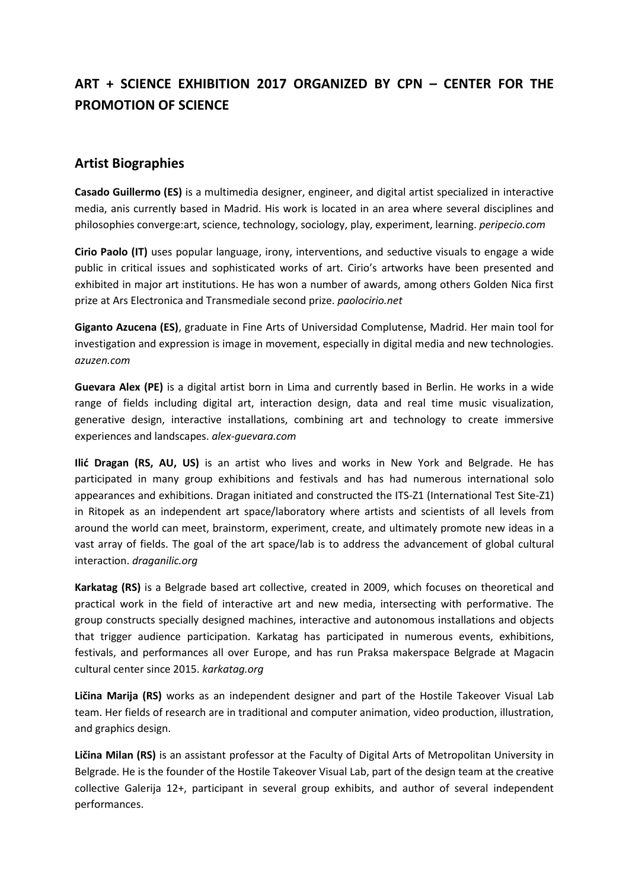## **ART + SCIENCE EXHIBITION 2017 ORGANIZED BY CPN – CENTER FOR THE PROMOTION OF SCIENCE**

## **Artist Biographies**

**Casado Guillermo (ES)** is a multimedia designer, engineer, and digital artist specialized in interactive media, anis currently based in Madrid. His work is located in an area where several disciplines and philosophies converge:art, science, technology, sociology, play, experiment, learning. *peripecio.com*

**Cirio Paolo (IT)** uses popular language, irony, interventions, and seductive visuals to engage a wide public in critical issues and sophisticated works of art. Cirio's artworks have been presented and exhibited in major art institutions. He has won a number of awards, among others Golden Nica first prize at Ars Electronica and Transmediale second prize. *paolocirio.net*

**Giganto Azucena (ES)**, graduate in Fine Arts of Universidad Complutense, Madrid. Her main tool for investigation and expression is image in movement, especially in digital media and new technologies. *azuzen.com*

**Guevara Alex (PE)** is a digital artist born in Lima and currently based in Berlin. He works in a wide range of fields including digital art, interaction design, data and real time music visualization, generative design, interactive installations, combining art and technology to create immersive experiences and landscapes. *alex-guevara.com*

**Ilić Dragan (RS, AU, US)** is an artist who lives and works in New York and Belgrade. He has participated in many group exhibitions and festivals and has had numerous international solo appearances and exhibitions. Dragan initiated and constructed the ITS-Z1 (International Test Site-Z1) in Ritopek as an independent art space/laboratory where artists and scientists of all levels from around the world can meet, brainstorm, experiment, create, and ultimately promote new ideas in a vast array of fields. The goal of the art space/lab is to address the advancement of global cultural interaction. *draganilic.org*

**Karkatag (RS)** is a Belgrade based art collective, created in 2009, which focuses on theoretical and practical work in the field of interactive art and new media, intersecting with performative. The group constructs specially designed machines, interactive and autonomous installations and objects that trigger audience participation. Karkatag has participated in numerous events, exhibitions, festivals, and performances all over Europe, and has run Praksa makerspace Belgrade at Magacin cultural center since 2015. *karkatag.org*

**Ličina Marija (RS)** works as an independent designer and part of the Hostile Takeover Visual Lab team. Her fields of research are in traditional and computer animation, video production, illustration, and graphics design.

**Ličina Milan (RS)** is an assistant professor at the Faculty of Digital Arts of Metropolitan University in Belgrade. He is the founder of the Hostile Takeover Visual Lab, part of the design team at the creative collective Galerija 12+, participant in several group exhibits, and author of several independent performances.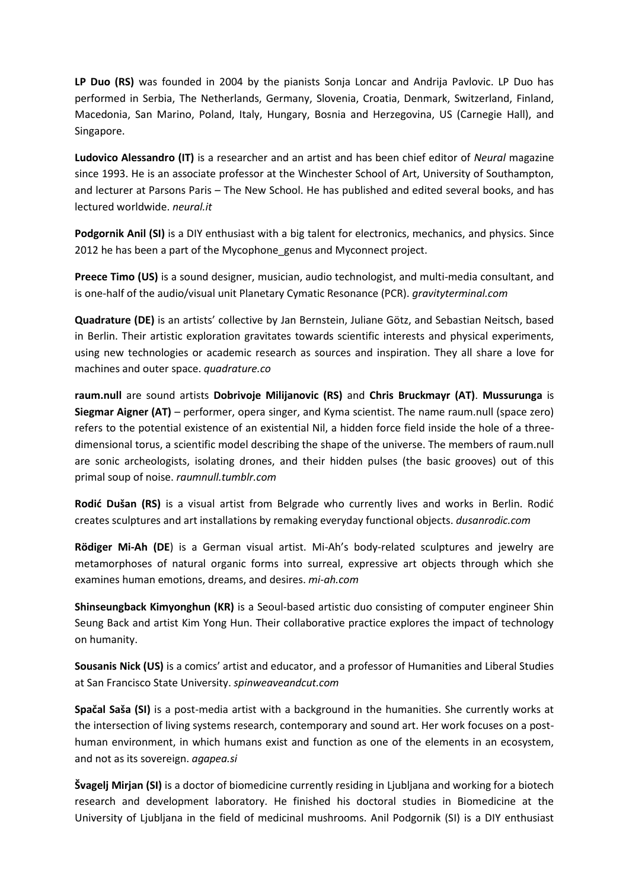**LP Duo (RS)** was founded in 2004 by the pianists Sonja Loncar and Andrija Pavlovic. LP Duo has performed in Serbia, The Netherlands, Germany, Slovenia, Croatia, Denmark, Switzerland, Finland, Macedonia, San Marino, Poland, Italy, Hungary, Bosnia and Herzegovina, US (Carnegie Hall), and Singapore.

**Ludovico Alessandro (IT)** is a researcher and an artist and has been chief editor of *Neural* magazine since 1993. He is an associate professor at the Winchester School of Art, University of Southampton, and lecturer at Parsons Paris – The New School. He has published and edited several books, and has lectured worldwide. *neural.it*

**Podgornik Anil (SI)** is a DIY enthusiast with a big talent for electronics, mechanics, and physics. Since 2012 he has been a part of the Mycophone\_genus and Myconnect project.

**Preece Timo (US)** is a sound designer, musician, audio technologist, and multi-media consultant, and is one-half of the audio/visual unit Planetary Cymatic Resonance (PCR). *gravityterminal.com*

**Quadrature (DE)** is an artists' collective by Jan Bernstein, Juliane Götz, and Sebastian Neitsch, based in Berlin. Their artistic exploration gravitates towards scientific interests and physical experiments, using new technologies or academic research as sources and inspiration. They all share a love for machines and outer space. *quadrature.co*

**raum.null** are sound artists **Dobrivoje Milijanovic (RS)** and **Chris Bruckmayr (AT)**. **Mussurunga** is **Siegmar Aigner (AT)** – performer, opera singer, and Kyma scientist. The name raum.null (space zero) refers to the potential existence of an existential Nil, a hidden force field inside the hole of a threedimensional torus, a scientific model describing the shape of the universe. The members of raum.null are sonic archeologists, isolating drones, and their hidden pulses (the basic grooves) out of this primal soup of noise. *raumnull.tumblr.com*

**Rodić Dušan (RS)** is a visual artist from Belgrade who currently lives and works in Berlin. Rodić creates sculptures and art installations by remaking everyday functional objects. *dusanrodic.com*

**Rödiger Mi-Ah (DE**) is a German visual artist. Mi-Ah's body-related sculptures and jewelry are metamorphoses of natural organic forms into surreal, expressive art objects through which she examines human emotions, dreams, and desires. *mi-ah.com*

**Shinseungback Kimyonghun (KR)** is a Seoul-based artistic duo consisting of computer engineer Shin Seung Back and artist Kim Yong Hun. Their collaborative practice explores the impact of technology on humanity.

**Sousanis Nick (US)** is a comics' artist and educator, and a professor of Humanities and Liberal Studies at San Francisco State University. *spinweaveandcut.com*

**Spačal Saša (SI)** is a post-media artist with a background in the humanities. She currently works at the intersection of living systems research, contemporary and sound art. Her work focuses on a posthuman environment, in which humans exist and function as one of the elements in an ecosystem, and not as its sovereign. *agapea.si*

**Švagelj Mirjan (SI)** is a doctor of biomedicine currently residing in Ljubljana and working for a biotech research and development laboratory. He finished his doctoral studies in Biomedicine at the University of Ljubljana in the field of medicinal mushrooms. Anil Podgornik (SI) is a DIY enthusiast